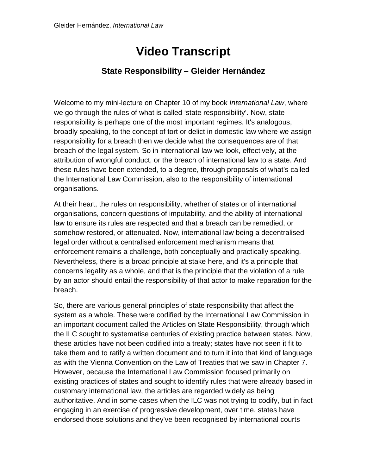## **Video Transcript**

## **State Responsibility – Gleider Hernández**

Welcome to my mini-lecture on Chapter 10 of my book *International Law*, where we go through the rules of what is called 'state responsibility'. Now, state responsibility is perhaps one of the most important regimes. It's analogous, broadly speaking, to the concept of tort or delict in domestic law where we assign responsibility for a breach then we decide what the consequences are of that breach of the legal system. So in international law we look, effectively, at the attribution of wrongful conduct, or the breach of international law to a state. And these rules have been extended, to a degree, through proposals of what's called the International Law Commission, also to the responsibility of international organisations.

At their heart, the rules on responsibility, whether of states or of international organisations, concern questions of imputability, and the ability of international law to ensure its rules are respected and that a breach can be remedied, or somehow restored, or attenuated. Now, international law being a decentralised legal order without a centralised enforcement mechanism means that enforcement remains a challenge, both conceptually and practically speaking. Nevertheless, there is a broad principle at stake here, and it's a principle that concerns legality as a whole, and that is the principle that the violation of a rule by an actor should entail the responsibility of that actor to make reparation for the breach.

So, there are various general principles of state responsibility that affect the system as a whole. These were codified by the International Law Commission in an important document called the Articles on State Responsibility, through which the ILC sought to systematise centuries of existing practice between states. Now, these articles have not been codified into a treaty; states have not seen it fit to take them and to ratify a written document and to turn it into that kind of language as with the Vienna Convention on the Law of Treaties that we saw in Chapter 7. However, because the International Law Commission focused primarily on existing practices of states and sought to identify rules that were already based in customary international law, the articles are regarded widely as being authoritative. And in some cases when the ILC was not trying to codify, but in fact engaging in an exercise of progressive development, over time, states have endorsed those solutions and they've been recognised by international courts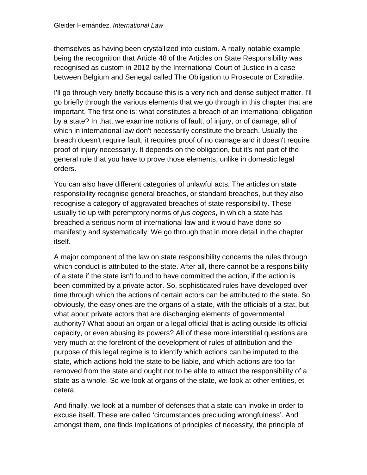themselves as having been crystallized into custom. A really notable example being the recognition that Article 48 of the Articles on State Responsibility was recognised as custom in 2012 by the International Court of Justice in a case between Belgium and Senegal called The Obligation to Prosecute or Extradite.

I'll go through very briefly because this is a very rich and dense subject matter. I'll go briefly through the various elements that we go through in this chapter that are important. The first one is: what constitutes a breach of an international obligation by a state? In that, we examine notions of fault, of injury, or of damage, all of which in international law don't necessarily constitute the breach. Usually the breach doesn't require fault, it requires proof of no damage and it doesn't require proof of injury necessarily. It depends on the obligation, but it's not part of the general rule that you have to prove those elements, unlike in domestic legal orders.

You can also have different categories of unlawful acts. The articles on state responsibility recognise general breaches, or standard breaches, but they also recognise a category of aggravated breaches of state responsibility. These usually tie up with peremptory norms of *jus cogens*, in which a state has breached a serious norm of international law and it would have done so manifestly and systematically. We go through that in more detail in the chapter itself.

A major component of the law on state responsibility concerns the rules through which conduct is attributed to the state. After all, there cannot be a responsibility of a state if the state isn't found to have committed the action, if the action is been committed by a private actor. So, sophisticated rules have developed over time through which the actions of certain actors can be attributed to the state. So obviously, the easy ones are the organs of a state, with the officials of a stat, but what about private actors that are discharging elements of governmental authority? What about an organ or a legal official that is acting outside its official capacity, or even abusing its powers? All of these more interstitial questions are very much at the forefront of the development of rules of attribution and the purpose of this legal regime is to identify which actions can be imputed to the state, which actions hold the state to be liable, and which actions are too far removed from the state and ought not to be able to attract the responsibility of a state as a whole. So we look at organs of the state, we look at other entities, et cetera.

And finally, we look at a number of defenses that a state can invoke in order to excuse itself. These are called 'circumstances precluding wrongfulness'. And amongst them, one finds implications of principles of necessity, the principle of